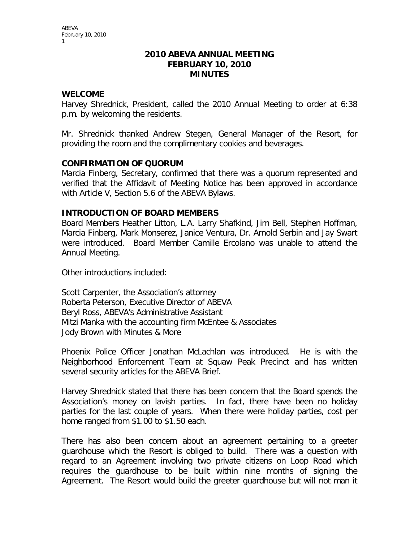#### **2010 ABEVA ANNUAL MEETING FEBRUARY 10, 2010 MINUTES**

## **WELCOME**

Harvey Shrednick, President, called the 2010 Annual Meeting to order at 6:38 p.m. by welcoming the residents.

Mr. Shrednick thanked Andrew Stegen, General Manager of the Resort, for providing the room and the complimentary cookies and beverages.

## **CONFIRMATION OF QUORUM**

Marcia Finberg, Secretary, confirmed that there was a quorum represented and verified that the Affidavit of Meeting Notice has been approved in accordance with Article V, Section 5.6 of the ABEVA Bylaws.

## **INTRODUCTION OF BOARD MEMBERS**

Board Members Heather Litton, L.A. Larry Shafkind, Jim Bell, Stephen Hoffman, Marcia Finberg, Mark Monserez, Janice Ventura, Dr. Arnold Serbin and Jay Swart were introduced. Board Member Camille Ercolano was unable to attend the Annual Meeting.

Other introductions included:

Scott Carpenter, the Association's attorney Roberta Peterson, Executive Director of ABEVA Beryl Ross, ABEVA's Administrative Assistant Mitzi Manka with the accounting firm McEntee & Associates Jody Brown with Minutes & More

Phoenix Police Officer Jonathan McLachlan was introduced. He is with the Neighborhood Enforcement Team at Squaw Peak Precinct and has written several security articles for the ABEVA Brief.

Harvey Shrednick stated that there has been concern that the Board spends the Association's money on lavish parties. In fact, there have been no holiday parties for the last couple of years. When there were holiday parties, cost per home ranged from \$1.00 to \$1.50 each.

There has also been concern about an agreement pertaining to a greeter guardhouse which the Resort is obliged to build. There was a question with regard to an Agreement involving two private citizens on Loop Road which requires the guardhouse to be built within nine months of signing the Agreement. The Resort would build the greeter guardhouse but will not man it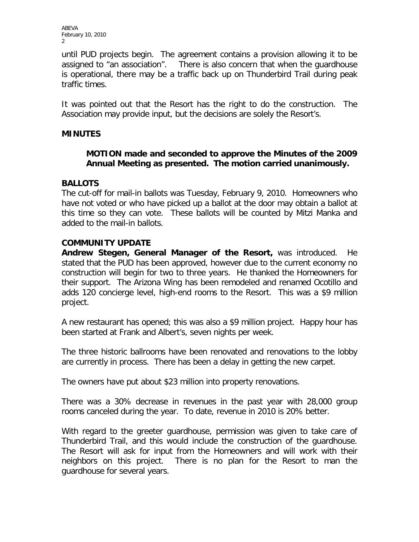until PUD projects begin. The agreement contains a provision allowing it to be assigned to "an association". There is also concern that when the guardhouse is operational, there may be a traffic back up on Thunderbird Trail during peak traffic times.

It was pointed out that the Resort has the right to do the construction. The Association may provide input, but the decisions are solely the Resort's.

## **MINUTES**

## **MOTION made and seconded to approve the Minutes of the 2009 Annual Meeting as presented. The motion carried unanimously.**

## **BALLOTS**

The cut-off for mail-in ballots was Tuesday, February 9, 2010. Homeowners who have not voted or who have picked up a ballot at the door may obtain a ballot at this time so they can vote. These ballots will be counted by Mitzi Manka and added to the mail-in ballots.

## **COMMUNITY UPDATE**

**Andrew Stegen, General Manager of the Resort,** was introduced. He stated that the PUD has been approved, however due to the current economy no construction will begin for two to three years. He thanked the Homeowners for their support. The Arizona Wing has been remodeled and renamed Ocotillo and adds 120 concierge level, high-end rooms to the Resort. This was a \$9 million project.

A new restaurant has opened; this was also a \$9 million project. Happy hour has been started at Frank and Albert's, seven nights per week.

The three historic ballrooms have been renovated and renovations to the lobby are currently in process. There has been a delay in getting the new carpet.

The owners have put about \$23 million into property renovations.

There was a 30% decrease in revenues in the past year with 28,000 group rooms canceled during the year. To date, revenue in 2010 is 20% better.

With regard to the greeter guardhouse, permission was given to take care of Thunderbird Trail, and this would include the construction of the guardhouse. The Resort will ask for input from the Homeowners and will work with their neighbors on this project. There is no plan for the Resort to man the guardhouse for several years.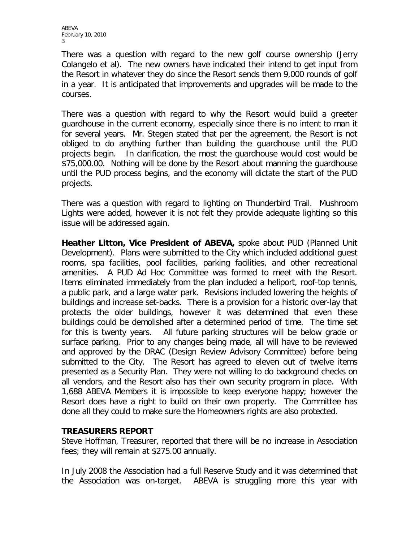There was a question with regard to the new golf course ownership (Jerry Colangelo et al). The new owners have indicated their intend to get input from the Resort in whatever they do since the Resort sends them 9,000 rounds of golf in a year. It is anticipated that improvements and upgrades will be made to the courses.

There was a question with regard to why the Resort would build a greeter guardhouse in the current economy, especially since there is no intent to man it for several years. Mr. Stegen stated that per the agreement, the Resort is not obliged to do anything further than building the guardhouse until the PUD projects begin. In clarification, the most the guardhouse would cost would be \$75,000.00. Nothing will be done by the Resort about manning the guardhouse until the PUD process begins, and the economy will dictate the start of the PUD projects.

There was a question with regard to lighting on Thunderbird Trail. Mushroom Lights were added, however it is not felt they provide adequate lighting so this issue will be addressed again.

**Heather Litton, Vice President of ABEVA,** spoke about PUD (Planned Unit Development). Plans were submitted to the City which included additional guest rooms, spa facilities, pool facilities, parking facilities, and other recreational amenities. A PUD Ad Hoc Committee was formed to meet with the Resort. Items eliminated immediately from the plan included a heliport, roof-top tennis, a public park, and a large water park. Revisions included lowering the heights of buildings and increase set-backs. There is a provision for a historic over-lay that protects the older buildings, however it was determined that even these buildings could be demolished after a determined period of time. The time set for this is twenty years. All future parking structures will be below grade or surface parking. Prior to any changes being made, all will have to be reviewed and approved by the DRAC (Design Review Advisory Committee) before being submitted to the City. The Resort has agreed to eleven out of twelve items presented as a Security Plan. They were not willing to do background checks on all vendors, and the Resort also has their own security program in place. With 1,688 ABEVA Members it is impossible to keep everyone happy; however the Resort does have a right to build on their own property. The Committee has done all they could to make sure the Homeowners rights are also protected.

#### **TREASURERS REPORT**

Steve Hoffman, Treasurer, reported that there will be no increase in Association fees; they will remain at \$275.00 annually.

In July 2008 the Association had a full Reserve Study and it was determined that the Association was on-target. ABEVA is struggling more this year with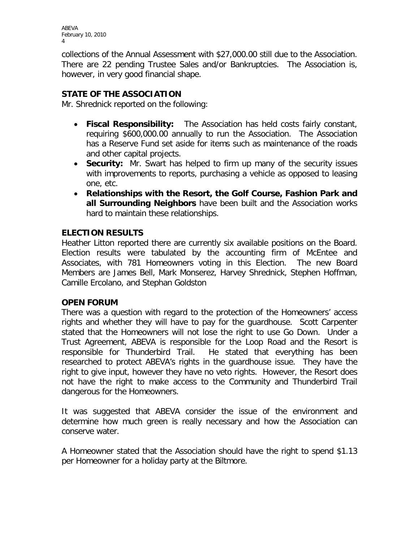collections of the Annual Assessment with \$27,000.00 still due to the Association. There are 22 pending Trustee Sales and/or Bankruptcies. The Association is, however, in very good financial shape.

# **STATE OF THE ASSOCIATION**

Mr. Shrednick reported on the following:

- **Fiscal Responsibility:** The Association has held costs fairly constant, requiring \$600,000.00 annually to run the Association. The Association has a Reserve Fund set aside for items such as maintenance of the roads and other capital projects.
- **Security:** Mr. Swart has helped to firm up many of the security issues with improvements to reports, purchasing a vehicle as opposed to leasing one, etc.
- **Relationships with the Resort, the Golf Course, Fashion Park and all Surrounding Neighbors** have been built and the Association works hard to maintain these relationships.

## **ELECTION RESULTS**

Heather Litton reported there are currently six available positions on the Board. Election results were tabulated by the accounting firm of McEntee and Associates, with 781 Homeowners voting in this Election. The new Board Members are James Bell, Mark Monserez, Harvey Shrednick, Stephen Hoffman, Camille Ercolano, and Stephan Goldston

#### **OPEN FORUM**

There was a question with regard to the protection of the Homeowners' access rights and whether they will have to pay for the guardhouse. Scott Carpenter stated that the Homeowners will not lose the right to use Go Down. Under a Trust Agreement, ABEVA is responsible for the Loop Road and the Resort is responsible for Thunderbird Trail. He stated that everything has been researched to protect ABEVA's rights in the guardhouse issue. They have the right to give input, however they have no veto rights. However, the Resort does not have the right to make access to the Community and Thunderbird Trail dangerous for the Homeowners.

It was suggested that ABEVA consider the issue of the environment and determine how much green is really necessary and how the Association can conserve water.

A Homeowner stated that the Association should have the right to spend \$1.13 per Homeowner for a holiday party at the Biltmore.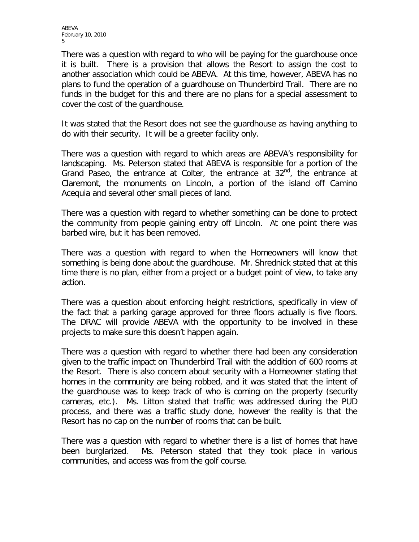There was a question with regard to who will be paying for the guardhouse once it is built. There is a provision that allows the Resort to assign the cost to another association which could be ABEVA. At this time, however, ABEVA has no plans to fund the operation of a guardhouse on Thunderbird Trail. There are no funds in the budget for this and there are no plans for a special assessment to cover the cost of the guardhouse.

It was stated that the Resort does not see the guardhouse as having anything to do with their security. It will be a greeter facility only.

There was a question with regard to which areas are ABEVA's responsibility for landscaping. Ms. Peterson stated that ABEVA is responsible for a portion of the Grand Paseo, the entrance at Colter, the entrance at  $32<sup>nd</sup>$ , the entrance at Claremont, the monuments on Lincoln, a portion of the island off Camino Acequia and several other small pieces of land.

There was a question with regard to whether something can be done to protect the community from people gaining entry off Lincoln. At one point there was barbed wire, but it has been removed.

There was a question with regard to when the Homeowners will know that something is being done about the guardhouse. Mr. Shrednick stated that at this time there is no plan, either from a project or a budget point of view, to take any action.

There was a question about enforcing height restrictions, specifically in view of the fact that a parking garage approved for three floors actually is five floors. The DRAC will provide ABEVA with the opportunity to be involved in these projects to make sure this doesn't happen again.

There was a question with regard to whether there had been any consideration given to the traffic impact on Thunderbird Trail with the addition of 600 rooms at the Resort. There is also concern about security with a Homeowner stating that homes in the community are being robbed, and it was stated that the intent of the guardhouse was to keep track of who is coming on the property (security cameras, etc.). Ms. Litton stated that traffic was addressed during the PUD process, and there was a traffic study done, however the reality is that the Resort has no cap on the number of rooms that can be built.

There was a question with regard to whether there is a list of homes that have been burglarized. Ms. Peterson stated that they took place in various communities, and access was from the golf course.